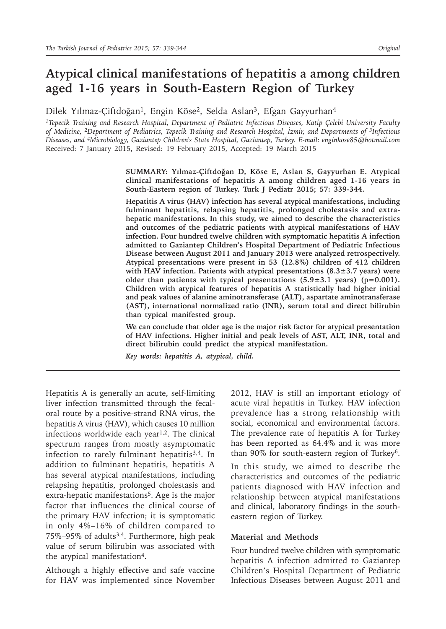# **Atypical clinical manifestations of hepatitis a among children aged 1-16 years in South-Eastern Region of Turkey**

Dilek Yılmaz-Çiftdoğan<sup>1</sup>, Engin Köse<sup>2</sup>, Selda Aslan<sup>3</sup>, Efgan Gayyurhan<sup>4</sup>

*<sup>1</sup>Tepecik Training and Research Hospital, Department of Pediatric Infectious Diseases, Katip Çelebi University Faculty of Medicine, 2Department of Pediatrics, Tepecik Training and Research Hospital, İzmir, and Departments of 3Infectious Diseases, and 4Microbiology, Gaziantep Children's State Hospital, Gaziantep, Turkey. E-mail: enginkose85@hotmail.com* Received: 7 January 2015, Revised: 19 February 2015, Accepted: 19 March 2015

> **SUMMARY: Yılmaz-Çiftdoğan D, Köse E, Aslan S, Gayyurhan E. Atypical clinical manifestations of hepatitis A among children aged 1-16 years in South-Eastern region of Turkey. Turk J Pediatr 2015; 57: 339-344.**

> **Hepatitis A virus (HAV) infection has several atypical manifestations, including fulminant hepatitis, relapsing hepatitis, prolonged cholestasis and extrahepatic manifestations. In this study, we aimed to describe the characteristics and outcomes of the pediatric patients with atypical manifestations of HAV infection. Four hundred twelve children with symptomatic hepatitis A infection admitted to Gaziantep Children's Hospital Department of Pediatric Infectious Disease between August 2011 and January 2013 were analyzed retrospectively. Atypical presentations were present in 53 (12.8%) children of 412 children with HAV infection. Patients with atypical presentations (8.3±3.7 years) were older than patients with typical presentations (5.9±3.1 years) (p=0.001). Children with atypical features of hepatitis A statistically had higher initial and peak values of alanine aminotransferase (ALT), aspartate aminotransferase (AST), international normalized ratio (INR), serum total and direct bilirubin than typical manifested group.**

> **We can conclude that older age is the major risk factor for atypical presentation of HAV infections. Higher initial and peak levels of AST, ALT, INR, total and direct bilirubin could predict the atypical manifestation.**

*Key words: hepatitis A, atypical, child.*

Hepatitis A is generally an acute, self-limiting liver infection transmitted through the fecaloral route by a positive-strand RNA virus, the hepatitis A virus (HAV), which causes 10 million infections worldwide each year<sup>1,2</sup>. The clinical spectrum ranges from mostly asymptomatic infection to rarely fulminant hepatitis<sup>3,4</sup>. In addition to fulminant hepatitis, hepatitis A has several atypical manifestations, including relapsing hepatitis, prolonged cholestasis and extra-hepatic manifestations<sup>5</sup>. Age is the major factor that influences the clinical course of the primary HAV infection; it is symptomatic in only 4%–16% of children compared to 75%–95% of adults3,4. Furthermore, high peak value of serum bilirubin was associated with the atypical manifestation<sup>4</sup>.

Although a highly effective and safe vaccine for HAV was implemented since November

2012, HAV is still an important etiology of acute viral hepatitis in Turkey. HAV infection prevalence has a strong relationship with social, economical and environmental factors. The prevalence rate of hepatitis A for Turkey has been reported as 64.4% and it was more than 90% for south-eastern region of Turkey<sup>6</sup>.

In this study, we aimed to describe the characteristics and outcomes of the pediatric patients diagnosed with HAV infection and relationship between atypical manifestations and clinical, laboratory findings in the southeastern region of Turkey.

#### **Material and Methods**

Four hundred twelve children with symptomatic hepatitis A infection admitted to Gaziantep Children's Hospital Department of Pediatric Infectious Diseases between August 2011 and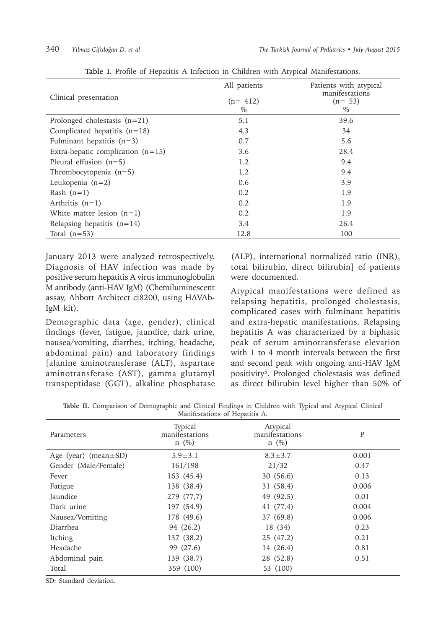| Clinical presentation               | All patients<br>$(n=412)$<br>$\%$ | Patients with atypical<br>manifestations<br>$(n= 53)$<br>$\%$ |
|-------------------------------------|-----------------------------------|---------------------------------------------------------------|
| Prolonged cholestasis $(n=21)$      | 5.1                               | 39.6                                                          |
| Complicated hepatitis $(n=18)$      | 4.3                               | 34                                                            |
| Fulminant hepatitis $(n=3)$         | 0.7                               | 5.6                                                           |
| Extra-hepatic complication $(n=15)$ | 3.6                               | 28.4                                                          |
| Pleural effusion $(n=5)$            | 1.2                               | 9.4                                                           |
| Thrombocytopenia $(n=5)$            | 1.2                               | 9.4                                                           |
| Leukopenia $(n=2)$                  | 0.6                               | 3.9                                                           |
| Rash $(n=1)$                        | 0.2                               | 1.9                                                           |
| Arthritis $(n=1)$                   | 0.2                               | 1.9                                                           |
| White matter lesion $(n=1)$         | 0.2                               | 1.9                                                           |
| Relapsing hepatitis $(n=14)$        | 3.4                               | 26.4                                                          |
| Total $(n=53)$                      | 12.8                              | 100                                                           |

**Table I.** Profile of Hepatitis A Infection in Children with Atypical Manifestations.

January 2013 were analyzed retrospectively. Diagnosis of HAV infection was made by positive serum hepatitis A virus immunoglobulin M antibody (anti-HAV IgM) (Chemiluminescent assay, Abbott Architect ci8200, using HAVAb-IgM kit).

Demographic data (age, gender), clinical findings (fever, fatigue, jaundice, dark urine, nausea/vomiting, diarrhea, itching, headache, abdominal pain) and laboratory findings [alanine aminotransferase (ALT), aspartate aminotransferase (AST), gamma glutamyl transpeptidase (GGT), alkaline phosphatase

(ALP), international normalized ratio (INR), total bilirubin, direct bilirubin] of patients were documented.

Atypical manifestations were defined as relapsing hepatitis, prolonged cholestasis, complicated cases with fulminant hepatitis and extra-hepatic manifestations. Relapsing hepatitis A was characterized by a biphasic peak of serum aminotransferase elevation with 1 to 4 month intervals between the first and second peak with ongoing anti-HAV IgM positivity5. Prolonged cholestasis was defined as direct bilirubin level higher than 50% of

**Table II.** Comparison of Demographic and Clinical Findings in Children with Typical and Atypical Clinical Manifestations of Hepatitis A.

| 1.1                        |                                         |                                          |       |
|----------------------------|-----------------------------------------|------------------------------------------|-------|
| Parameters                 | Typical<br>manifestations<br>$n \ (\%)$ | Atypical<br>manifestations<br>$n \ (\%)$ | P     |
| Age (year) (mean $\pm$ SD) | $5.9 \pm 3.1$                           | $8.3 \pm 3.7$                            | 0.001 |
| Gender (Male/Female)       | 161/198                                 | 21/32                                    | 0.47  |
| Fever                      | 163 (45.4)                              | 30(56.6)                                 | 0.13  |
| Fatigue                    | 138 (38.4)                              | 31 (58.4)                                | 0.006 |
| Jaundice                   | 279 (77,7)                              | 49 (92.5)                                | 0.01  |
| Dark urine                 | 197 (54.9)                              | 41 (77.4)                                | 0.004 |
| Nausea/Vomiting            | 178 (49.6)                              | 37 (69.8)                                | 0.006 |
| Diarrhea                   | 94 (26.2)                               | 18 (34)                                  | 0.23  |
| Itching                    | 137 (38.2)                              | 25 (47.2)                                | 0.21  |
| Headache                   | 99 (27.6)                               | 14 (26.4)                                | 0.81  |
| Abdominal pain             | 139 (38.7)                              | 28 (52.8)                                | 0.51  |
| Total                      | 359 (100)                               | 53 (100)                                 |       |

SD: Standard deviation.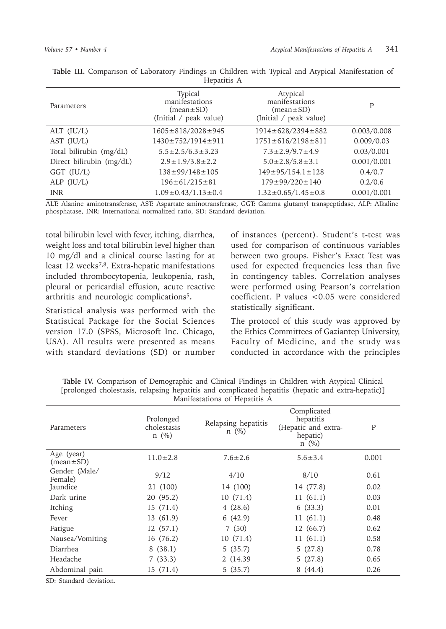| Parameters               | Typical<br>manifestations<br>$(mean \pm SD)$<br>(Initial / peak value) | Atypical<br>manifestations<br>$(\text{mean} \pm \text{SD})$<br>(Initial / peak value) | P           |
|--------------------------|------------------------------------------------------------------------|---------------------------------------------------------------------------------------|-------------|
| ALT $(IU/L)$             | $1605 \pm 818/2028 \pm 945$                                            | $1914 \pm 628/2394 \pm 882$                                                           | 0.003/0.008 |
| AST (IU/L)               | 1430±752/1914±911                                                      | $1751 \pm 616/2198 \pm 811$                                                           | 0.009/0.03  |
| Total bilirubin (mg/dL)  | $5.5 \pm 2.5/6.3 \pm 3.23$                                             | $7.3 \pm 2.9/9.7 \pm 4.9$                                                             | 0.03/0.001  |
| Direct bilirubin (mg/dL) | $2.9 \pm 1.9/3.8 \pm 2.2$                                              | $5.0 \pm 2.8 / 5.8 \pm 3.1$                                                           | 0.001/0.001 |
| GGT (IU/L)               | $138 \pm 99/148 \pm 105$                                               | $149 \pm 95 / 154.1 \pm 128$                                                          | 0.4/0.7     |
| ALP $(IU/L)$             | $196 \pm 61/215 \pm 81$                                                | $179 \pm 99/220 \pm 140$                                                              | 0.2/0.6     |
| <b>INR</b>               | $1.09 \pm 0.43 / 1.13 \pm 0.4$                                         | $1.32 \pm 0.65 / 1.45 \pm 0.8$                                                        | 0.001/0.001 |

**Table III.** Comparison of Laboratory Findings in Children with Typical and Atypical Manifestation of Hepatitis A

ALT: Alanine aminotransferase, AST: Aspartate aminotransferase, GGT: Gamma glutamyl transpeptidase, ALP: Alkaline phosphatase, INR: International normalized ratio, SD: Standard deviation.

total bilirubin level with fever, itching, diarrhea, weight loss and total bilirubin level higher than 10 mg/dl and a clinical course lasting for at least 12 weeks<sup>7,8</sup>. Extra-hepatic manifestations included thrombocytopenia, leukopenia, rash, pleural or pericardial effusion, acute reactive arthritis and neurologic complications<sup>5</sup>**.**

Statistical analysis was performed with the Statistical Package for the Social Sciences version 17.0 (SPSS, Microsoft Inc. Chicago, USA). All results were presented as means with standard deviations (SD) or number of instances (percent). Student's t-test was used for comparison of continuous variables between two groups. Fisher's Exact Test was used for expected frequencies less than five in contingency tables. Correlation analyses were performed using Pearson's correlation coefficient. P values <0.05 were considered statistically significant.

The protocol of this study was approved by the Ethics Committees of Gaziantep University, Faculty of Medicine, and the study was conducted in accordance with the principles

|                               |                                        | Manifestations of Hepatitis A     |                                                                           |       |
|-------------------------------|----------------------------------------|-----------------------------------|---------------------------------------------------------------------------|-------|
| Parameters                    | Prolonged<br>cholestasis<br>$n \ (\%)$ | Relapsing hepatitis<br>$n \ (\%)$ | Complicated<br>hepatitis<br>(Hepatic and extra-<br>hepatic)<br>$n \ (\%)$ | P     |
| Age (year)<br>$(mean \pm SD)$ | $11.0 \pm 2.8$                         | $7.6 \pm 2.6$                     | $5.6 \pm 3.4$                                                             | 0.001 |
| Gender (Male/<br>Female)      | 9/12                                   | 4/10                              | 8/10                                                                      | 0.61  |
| Jaundice                      | 21 (100)                               | 14 (100)                          | 14 (77.8)                                                                 | 0.02  |
| Dark urine                    | 20 (95.2)                              | 10(71.4)                          | 11(61.1)                                                                  | 0.03  |
| Itching                       | 15(71.4)                               | 4(28.6)                           | 6(33.3)                                                                   | 0.01  |
| Fever                         | 13 (61.9)                              | 6(42.9)                           | 11(61.1)                                                                  | 0.48  |
| Fatigue                       | 12(57.1)                               | 7(50)                             | 12 (66.7)                                                                 | 0.62  |
| Nausea/Vomiting               | 16 (76.2)                              | 10(71.4)                          | 11(61.1)                                                                  | 0.58  |
| Diarrhea                      | 8(38.1)                                | 5(35.7)                           | 5(27.8)                                                                   | 0.78  |
| Headache                      | 7(33.3)                                | 2 (14.39)                         | 5(27.8)                                                                   | 0.65  |
| Abdominal pain                | 15 (71.4)                              | 5(35.7)                           | 8(44.4)                                                                   | 0.26  |

**Table IV.** Comparison of Demographic and Clinical Findings in Children with Atypical Clinical [prolonged cholestasis, relapsing hepatitis and complicated hepatitis (hepatic and extra-hepatic)]

SD: Standard deviation.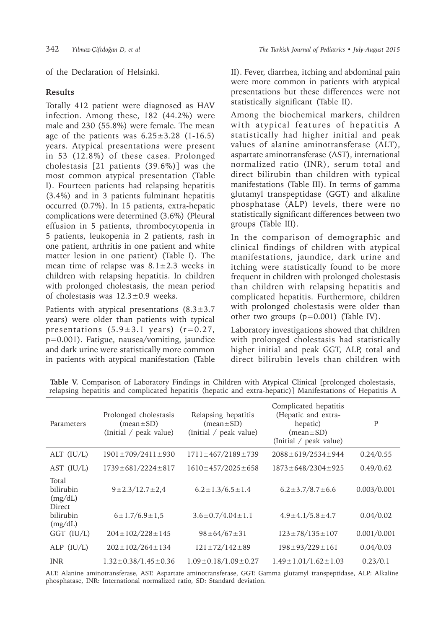of the Declaration of Helsinki.

## **Results**

Totally 412 patient were diagnosed as HAV infection. Among these, 182 (44.2%) were male and 230 (55.8%) were female. The mean age of the patients was  $6.25 \pm 3.28$  (1-16.5) years. Atypical presentations were present in 53 (12.8%) of these cases. Prolonged cholestasis [21 patients (39.6%)] was the most common atypical presentation (Table I). Fourteen patients had relapsing hepatitis (3.4%) and in 3 patients fulminant hepatitis occurred (0.7%). In 15 patients, extra-hepatic complications were determined (3.6%) (Pleural effusion in 5 patients, thrombocytopenia in 5 patients, leukopenia in 2 patients, rash in one patient, arthritis in one patient and white matter lesion in one patient) (Table I). The mean time of relapse was  $8.1 \pm 2.3$  weeks in children with relapsing hepatitis. In children with prolonged cholestasis, the mean period of cholestasis was 12.3±0.9 weeks.

Patients with atypical presentations  $(8.3 \pm 3.7)$ years) were older than patients with typical presentations  $(5.9 \pm 3.1 \text{ years})$   $(r=0.27,$ p=0.001). Fatigue, nausea/vomiting, jaundice and dark urine were statistically more common in patients with atypical manifestation (Table II). Fever, diarrhea, itching and abdominal pain were more common in patients with atypical presentations but these differences were not statistically significant (Table II).

Among the biochemical markers, children with atypical features of hepatitis A statistically had higher initial and peak values of alanine aminotransferase (ALT), aspartate aminotransferase (AST), international normalized ratio (INR), serum total and direct bilirubin than children with typical manifestations (Table III). In terms of gamma glutamyl transpeptidase (GGT) and alkaline phosphatase (ALP) levels, there were no statistically significant differences between two groups (Table III).

In the comparison of demographic and clinical findings of children with atypical manifestations, jaundice, dark urine and itching were statistically found to be more frequent in children with prolonged cholestasis than children with relapsing hepatitis and complicated hepatitis. Furthermore, children with prolonged cholestasis were older than other two groups (p=0.001) (Table IV).

Laboratory investigations showed that children with prolonged cholestasis had statistically higher initial and peak GGT, ALP, total and direct bilirubin levels than children with

| Parameters                              | Prolonged cholestasis<br>$(mean \pm SD)$<br>(Initial / peak value) | Relapsing hepatitis<br>$(mean \pm SD)$<br>(Initial / peak value) | Complicated hepatitis<br>(Hepatic and extra-<br>hepatic)<br>$(mean \pm SD)$<br>(Initial / peak value) | P           |
|-----------------------------------------|--------------------------------------------------------------------|------------------------------------------------------------------|-------------------------------------------------------------------------------------------------------|-------------|
| ALT $(IU/L)$                            | $1901 \pm 709/2411 \pm 930$                                        | $1711 \pm 467/2189 \pm 739$                                      | $2088 \pm 619/2534 \pm 944$                                                                           | 0.24/0.55   |
| AST $(IU/L)$                            | $1739 \pm 681/2224 \pm 817$                                        | $1610 \pm 457/2025 \pm 658$                                      | $1873 \pm 648/2304 \pm 925$                                                                           | 0.49/0.62   |
| Total<br>bilirubin<br>(mg/dL)<br>Direct | $9 \pm 2.3/12.7 \pm 2.4$                                           | $6.2 \pm 1.3/6.5 \pm 1.4$                                        | $6.2 \pm 3.7/8.7 \pm 6.6$                                                                             | 0.003/0.001 |
| bilirubin<br>(mg/dL)                    | $6 \pm 1.7/6.9 \pm 1.5$                                            | $3.6 \pm 0.7/4.04 \pm 1.1$                                       | $4.9 \pm 4.1/5.8 \pm 4.7$                                                                             | 0.04/0.02   |
| GGT (IU/L)                              | $204 \pm 102/228 \pm 145$                                          | $98 \pm 64/67 \pm 31$                                            | $123 \pm 78/135 \pm 107$                                                                              | 0.001/0.001 |
| ALP $(IU/L)$                            | $202 \pm 102/264 \pm 134$                                          | $121 \pm 72/142 \pm 89$                                          | $198 \pm 93/229 \pm 161$                                                                              | 0.04/0.03   |
| <b>INR</b>                              | $1.32 \pm 0.38 / 1.45 \pm 0.36$                                    | $1.09 \pm 0.18/1.09 \pm 0.27$                                    | $1.49 \pm 1.01 / 1.62 \pm 1.03$                                                                       | 0.23/0.1    |

**Table V.** Comparison of Laboratory Findings in Children with Atypical Clinical [prolonged cholestasis, relapsing hepatitis and complicated hepatitis (hepatic and extra-hepatic)] Manifestations of Hepatitis A

ALT: Alanine aminotransferase, AST: Aspartate aminotransferase, GGT: Gamma glutamyl transpeptidase, ALP: Alkaline phosphatase, INR: International normalized ratio, SD: Standard deviation.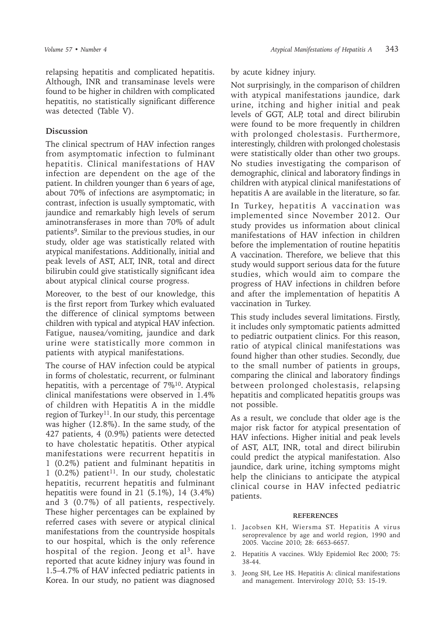relapsing hepatitis and complicated hepatitis. Although, INR and transaminase levels were found to be higher in children with complicated hepatitis, no statistically significant difference was detected (Table V).

## **Discussion**

The clinical spectrum of HAV infection ranges from asymptomatic infection to fulminant hepatitis. Clinical manifestations of HAV infection are dependent on the age of the patient. In children younger than 6 years of age, about 70% of infections are asymptomatic; in contrast, infection is usually symptomatic, with jaundice and remarkably high levels of serum aminotransferases in more than 70% of adult patients<sup>9</sup>. Similar to the previous studies, in our study, older age was statistically related with atypical manifestations. Additionally, initial and peak levels of AST, ALT, INR, total and direct bilirubin could give statistically significant idea about atypical clinical course progress.

Moreover, to the best of our knowledge, this is the first report from Turkey which evaluated the difference of clinical symptoms between children with typical and atypical HAV infection. Fatigue, nausea/vomiting, jaundice and dark urine were statistically more common in patients with atypical manifestations.

The course of HAV infection could be atypical in forms of cholestatic, recurrent, or fulminant hepatitis, with a percentage of  $7\%^{10}$ . Atypical clinical manifestations were observed in 1.4% of children with Hepatitis A in the middle region of Turkey<sup>11</sup>. In our study, this percentage was higher (12.8%). In the same study, of the 427 patients, 4 (0.9%) patients were detected to have cholestatic hepatitis. Other atypical manifestations were recurrent hepatitis in 1 (0.2%) patient and fulminant hepatitis in 1 (0.2%) patient<sup>11</sup>. In our study, cholestatic hepatitis, recurrent hepatitis and fulminant hepatitis were found in 21 (5.1%), 14 (3.4%) and 3 (0.7%) of all patients, respectively. These higher percentages can be explained by referred cases with severe or atypical clinical manifestations from the countryside hospitals to our hospital, which is the only reference hospital of the region. Jeong et al<sup>3</sup>. have reported that acute kidney injury was found in 1.5–4.7% of HAV infected pediatric patients in Korea. In our study, no patient was diagnosed

### by acute kidney injury.

Not surprisingly, in the comparison of children with atypical manifestations jaundice, dark urine, itching and higher initial and peak levels of GGT, ALP, total and direct bilirubin were found to be more frequently in children with prolonged cholestasis. Furthermore, interestingly, children with prolonged cholestasis were statistically older than other two groups. No studies investigating the comparison of demographic, clinical and laboratory findings in children with atypical clinical manifestations of hepatitis A are available in the literature, so far.

In Turkey, hepatitis A vaccination was implemented since November 2012. Our study provides us information about clinical manifestations of HAV infection in children before the implementation of routine hepatitis A vaccination. Therefore, we believe that this study would support serious data for the future studies, which would aim to compare the progress of HAV infections in children before and after the implementation of hepatitis A vaccination in Turkey.

This study includes several limitations. Firstly, it includes only symptomatic patients admitted to pediatric outpatient clinics. For this reason, ratio of atypical clinical manifestations was found higher than other studies. Secondly, due to the small number of patients in groups, comparing the clinical and laboratory findings between prolonged cholestasis, relapsing hepatitis and complicated hepatitis groups was not possible.

As a result, we conclude that older age is the major risk factor for atypical presentation of HAV infections. Higher initial and peak levels of AST, ALT, INR, total and direct bilirubin could predict the atypical manifestation. Also jaundice, dark urine, itching symptoms might help the clinicians to anticipate the atypical clinical course in HAV infected pediatric patients.

#### **REFERENCES**

- 1. Jacobsen KH, Wiersma ST. Hepatitis A virus seroprevalence by age and world region, 1990 and 2005. Vaccine 2010; 28: 6653-6657.
- 2. Hepatitis A vaccines. Wkly Epidemiol Rec 2000; 75: 38-44.
- 3. Jeong SH, Lee HS. Hepatitis A: clinical manifestations and management. Intervirology 2010; 53: 15-19.